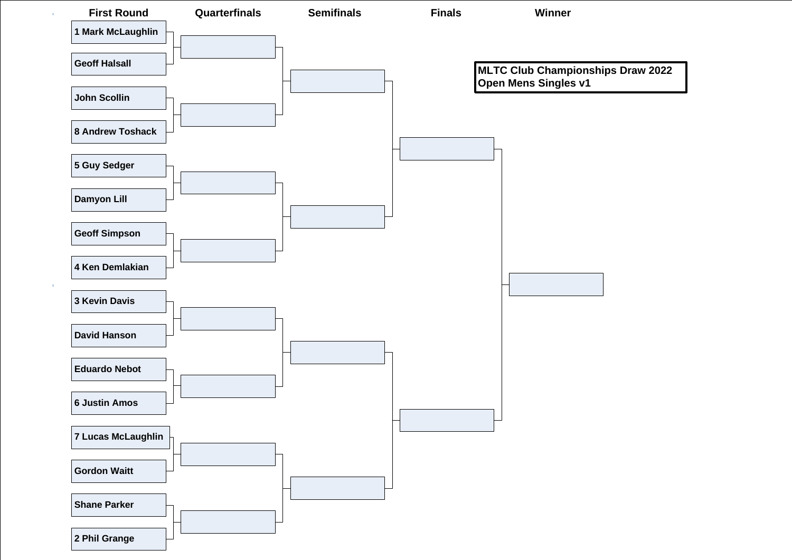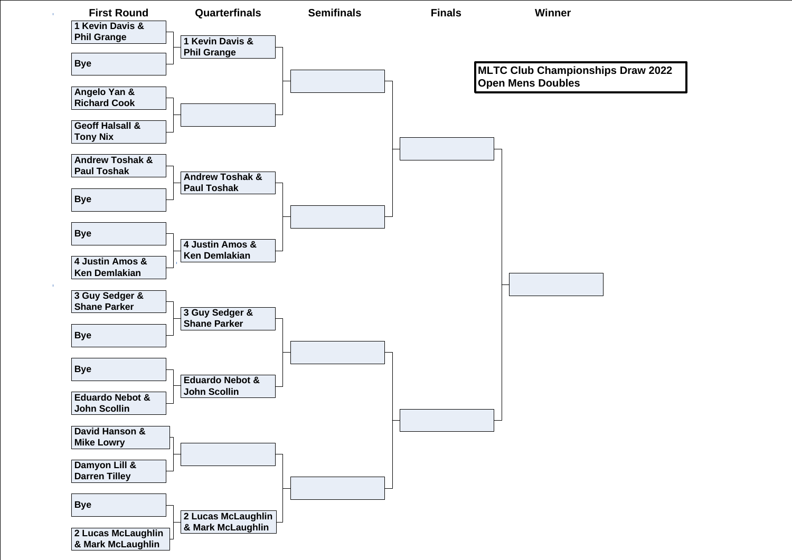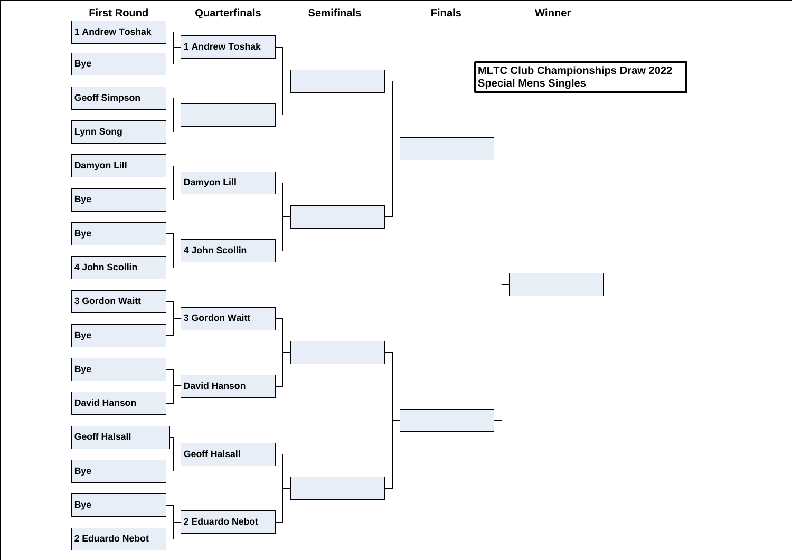

 $\sim 10^7$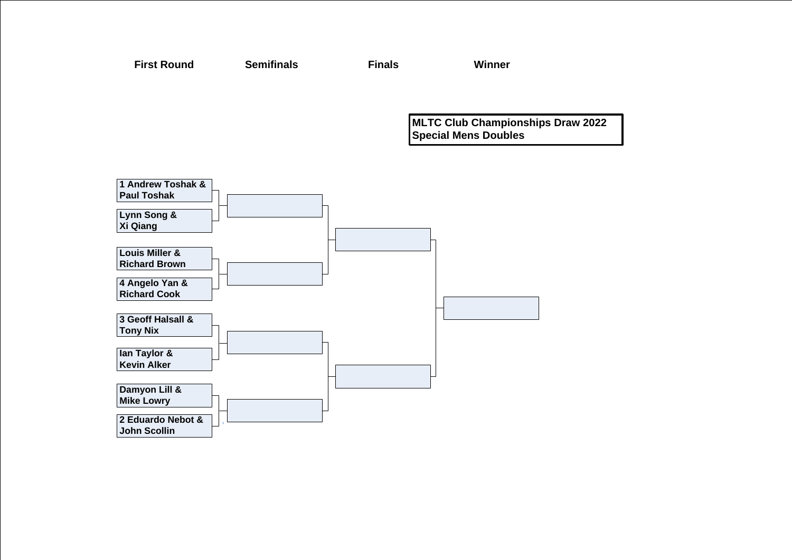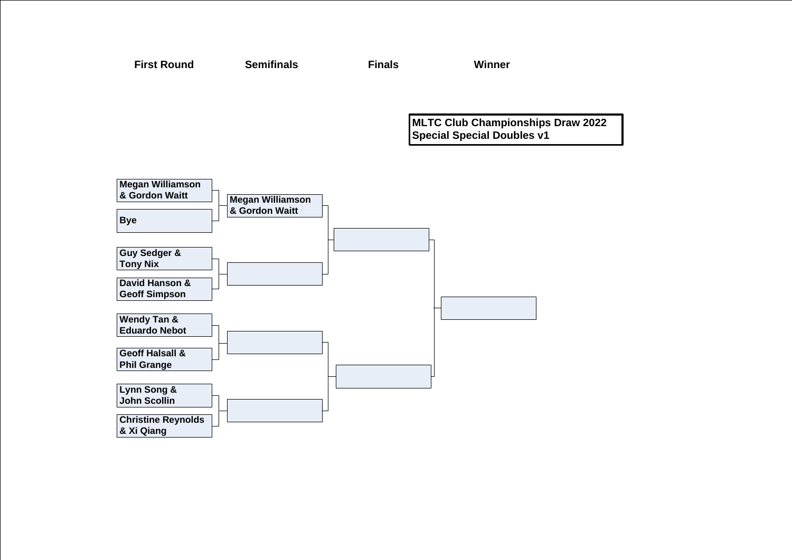